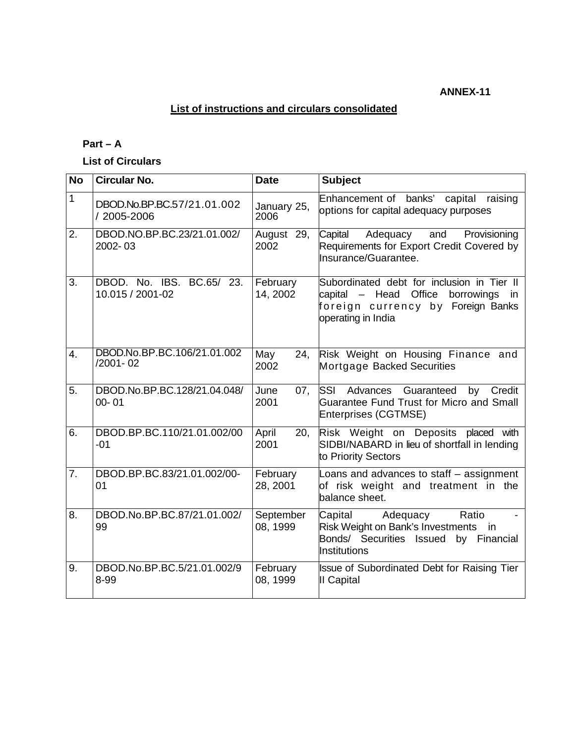### **ANNEX-11**

## **List of instructions and circulars consolidated**

# **Part – A**

**List of Circulars** 

| <b>No</b>        | <b>Circular No.</b>                           | <b>Date</b>           | <b>Subject</b>                                                                                                                                        |
|------------------|-----------------------------------------------|-----------------------|-------------------------------------------------------------------------------------------------------------------------------------------------------|
| 1                | DBOD.No.BP.BC.57/21.01.002<br>/ 2005-2006     | January 25,<br>2006   | Enhancement of banks'<br>capital<br>raising<br>options for capital adequacy purposes                                                                  |
| 2.               | DBOD.NO.BP.BC.23/21.01.002/<br>2002-03        | August 29,<br>2002    | Adequacy<br>Capital<br>and<br>Provisioning<br>Requirements for Export Credit Covered by<br>Insurance/Guarantee.                                       |
| 3.               | DBOD. No. IBS. BC.65/ 23.<br>10.015 / 2001-02 | February<br>14, 2002  | Subordinated debt for inclusion in Tier II<br>capital – Head<br>Office<br>borrowings<br>in<br>foreign currency by Foreign Banks<br>operating in India |
| $\overline{4}$ . | DBOD.No.BP.BC.106/21.01.002<br>/2001-02       | May<br>24.<br>2002    | Risk Weight on Housing Finance and<br>Mortgage Backed Securities                                                                                      |
| 5.               | DBOD.No.BP.BC.128/21.04.048/<br>$00 - 01$     | June<br>07,<br>2001   | <b>SSI</b><br>Advances<br>Guaranteed<br>Credit<br>by<br>Guarantee Fund Trust for Micro and Small<br>Enterprises (CGTMSE)                              |
| 6.               | DBOD.BP.BC.110/21.01.002/00<br>$-01$          | April<br>20,<br>2001  | Risk Weight on Deposits placed with<br>SIDBI/NABARD in lieu of shortfall in lending<br>to Priority Sectors                                            |
| 7.               | DBOD.BP.BC.83/21.01.002/00-<br>01             | February<br>28, 2001  | Loans and advances to staff - assignment<br>of risk weight and treatment in the<br>balance sheet.                                                     |
| 8.               | DBOD.No.BP.BC.87/21.01.002/<br>99             | September<br>08, 1999 | Capital<br>Adequacy<br>Ratio<br>Risk Weight on Bank's Investments<br>in<br>Bonds/ Securities Issued<br>by Financial<br>Institutions                   |
| 9.               | DBOD.No.BP.BC.5/21.01.002/9<br>8-99           | February<br>08, 1999  | <b>Issue of Subordinated Debt for Raising Tier</b><br>II Capital                                                                                      |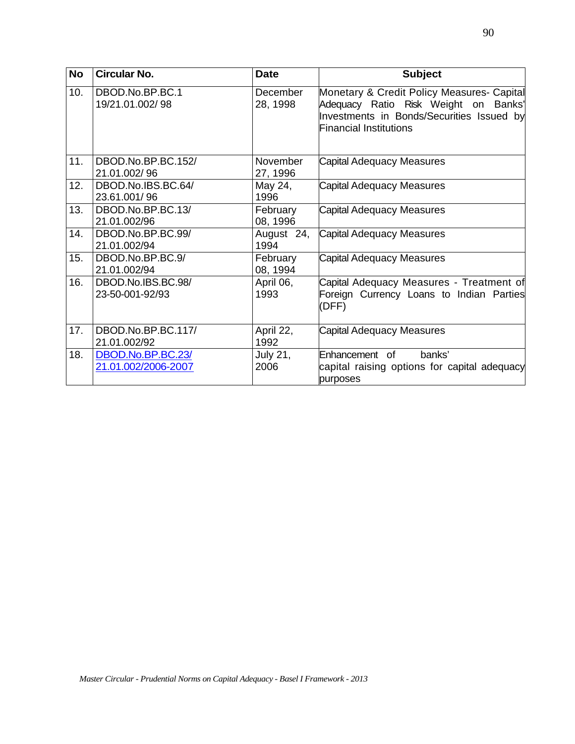| <b>No</b> | <b>Circular No.</b>                      | <b>Date</b>          | <b>Subject</b>                                                                                                                                                   |
|-----------|------------------------------------------|----------------------|------------------------------------------------------------------------------------------------------------------------------------------------------------------|
| 10.       | DBOD.No.BP.BC.1<br>19/21.01.002/98       | December<br>28, 1998 | Monetary & Credit Policy Measures- Capital<br>Adequacy Ratio Risk Weight on Banks'<br>Investments in Bonds/Securities Issued by<br><b>Financial Institutions</b> |
| 11.       | DBOD.No.BP.BC.152/<br>21.01.002/96       | November<br>27, 1996 | Capital Adequacy Measures                                                                                                                                        |
| 12.       | DBOD.No.IBS.BC.64/<br>23.61.001/96       | May 24,<br>1996      | Capital Adequacy Measures                                                                                                                                        |
| 13.       | DBOD.No.BP.BC.13/<br>21.01.002/96        | February<br>08, 1996 | Capital Adequacy Measures                                                                                                                                        |
| 14.       | DBOD.No.BP.BC.99/<br>21.01.002/94        | August 24,<br>1994   | Capital Adequacy Measures                                                                                                                                        |
| 15.       | DBOD.No.BP.BC.9/<br>21.01.002/94         | February<br>08, 1994 | Capital Adequacy Measures                                                                                                                                        |
| 16.       | DBOD.No.IBS.BC.98/<br>23-50-001-92/93    | April 06,<br>1993    | Capital Adequacy Measures - Treatment of<br>Foreign Currency Loans to Indian Parties<br>(DFF)                                                                    |
| 17.       | DBOD.No.BP.BC.117/<br>21.01.002/92       | April 22,<br>1992    | <b>Capital Adequacy Measures</b>                                                                                                                                 |
| 18.       | DBOD.No.BP.BC.23/<br>21.01.002/2006-2007 | July 21,<br>2006     | Enhancement of<br>banks'<br>capital raising options for capital adequacy<br>purposes                                                                             |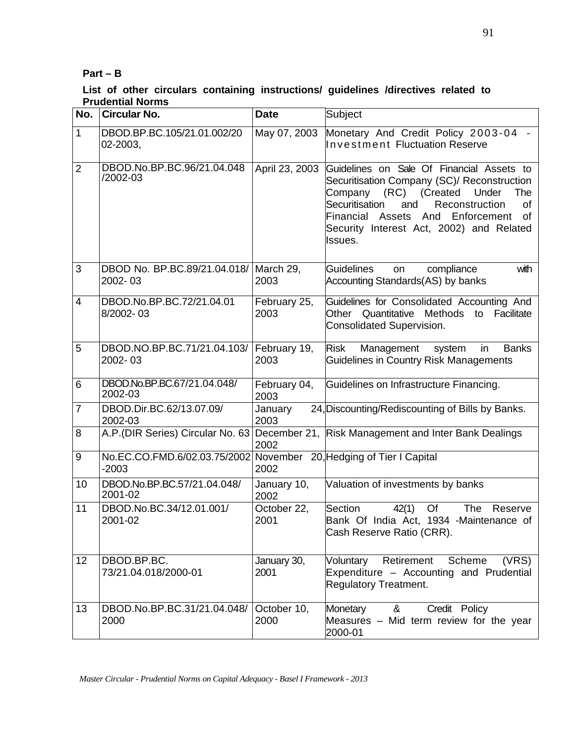### **Part – B**

#### **List of other circulars containing instructions/ guidelines /directives related to Prudential Norms**

| No.                      | <b>Circular No.</b>                                                            | <b>Date</b>          | Subject                                                                                                                                                                                                                                                                                |
|--------------------------|--------------------------------------------------------------------------------|----------------------|----------------------------------------------------------------------------------------------------------------------------------------------------------------------------------------------------------------------------------------------------------------------------------------|
| 1                        | DBOD.BP.BC.105/21.01.002/20<br>02-2003,                                        | May 07, 2003         | Monetary And Credit Policy 2003-04<br><b>Investment Fluctuation Reserve</b>                                                                                                                                                                                                            |
| $\overline{2}$           | DBOD.No.BP.BC.96/21.04.048<br>/2002-03                                         | April 23, 2003       | Guidelines on Sale Of Financial Assets to<br>Securitisation Company (SC)/ Reconstruction<br>Company (RC) (Created<br>Under<br>The<br>Securitisation<br>and<br>Reconstruction<br>οf<br>Financial Assets<br>And Enforcement<br>οf<br>Security Interest Act, 2002) and Related<br>Issues. |
| 3                        | DBOD No. BP.BC.89/21.04.018/ March 29,<br>2002-03                              | 2003                 | <b>Guidelines</b><br>compliance<br>with<br><b>on</b><br>Accounting Standards(AS) by banks                                                                                                                                                                                              |
| $\overline{\mathcal{A}}$ | DBOD.No.BP.BC.72/21.04.01<br>8/2002-03                                         | February 25,<br>2003 | Guidelines for Consolidated Accounting And<br>Other Quantitative<br><b>Methods</b><br>to<br>Facilitate<br>Consolidated Supervision.                                                                                                                                                    |
| 5                        | DBOD.NO.BP.BC.71/21.04.103/<br>2002-03                                         | February 19,<br>2003 | Risk<br>Management<br><b>Banks</b><br>system<br>in<br>Guidelines in Country Risk Managements                                                                                                                                                                                           |
| 6                        | DBOD.No.BP.BC.67/21.04.048/<br>2002-03                                         | February 04,<br>2003 | Guidelines on Infrastructure Financing.                                                                                                                                                                                                                                                |
| $\overline{7}$           | DBOD.Dir.BC.62/13.07.09/<br>2002-03                                            | January<br>2003      | 24, Discounting/Rediscounting of Bills by Banks.                                                                                                                                                                                                                                       |
| 8                        | A.P. (DIR Series) Circular No. 63                                              | 2002                 | December 21, Risk Management and Inter Bank Dealings                                                                                                                                                                                                                                   |
| 9                        | No.EC.CO.FMD.6/02.03.75/2002 November 20, Hedging of Tier I Capital<br>$-2003$ | 2002                 |                                                                                                                                                                                                                                                                                        |
| 10                       | DBOD.No.BP.BC.57/21.04.048/<br>2001-02                                         | January 10,<br>2002  | Valuation of investments by banks                                                                                                                                                                                                                                                      |
| 11                       | DBOD.No.BC.34/12.01.001/<br>2001-02                                            | October 22,<br>2001  | Section<br>The<br>42(1)<br>Of<br>Reserve<br>Bank Of India Act, 1934 -Maintenance of<br>Cash Reserve Ratio (CRR).                                                                                                                                                                       |
| 12                       | DBOD.BP.BC.<br>73/21.04.018/2000-01                                            | January 30,<br>2001  | Scheme<br>Retirement<br>(VRS)<br>Voluntary<br>Expenditure - Accounting and Prudential<br><b>Regulatory Treatment.</b>                                                                                                                                                                  |
| 13                       | DBOD.No.BP.BC.31/21.04.048/<br>2000                                            | October 10,<br>2000  | &<br>Credit Policy<br>Monetary<br>Measures - Mid term review for the year<br>2000-01                                                                                                                                                                                                   |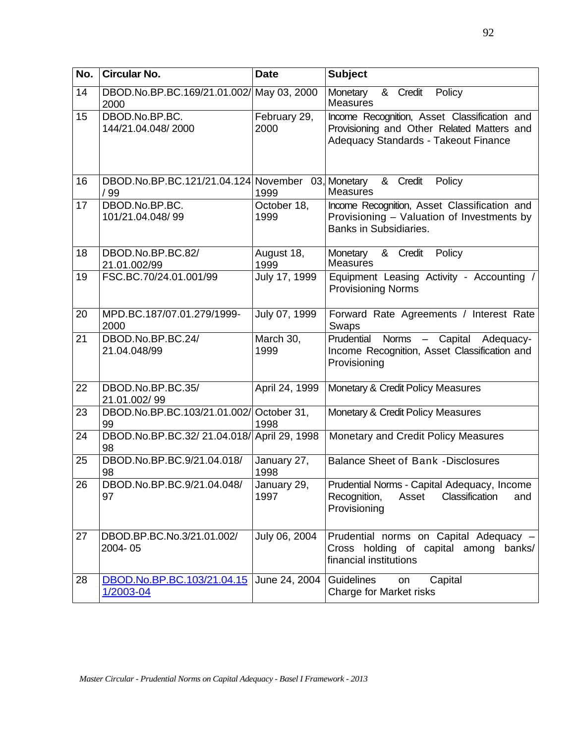| No. | Circular No.                                      | <b>Date</b>          | <b>Subject</b>                                                                                                                     |
|-----|---------------------------------------------------|----------------------|------------------------------------------------------------------------------------------------------------------------------------|
| 14  | DBOD.No.BP.BC.169/21.01.002/ May 03, 2000<br>2000 |                      | $\overline{\mathcal{8}}$ Credit<br>Policy<br>Monetary<br><b>Measures</b>                                                           |
| 15  | DBOD.No.BP.BC.<br>144/21.04.048/2000              | February 29,<br>2000 | Income Recognition, Asset Classification and<br>Provisioning and Other Related Matters and<br>Adequacy Standards - Takeout Finance |
| 16  | DBOD.No.BP.BC.121/21.04.124 November<br>/99       | 1999                 | 03, Monetary<br>&<br>Credit<br>Policy<br><b>Measures</b>                                                                           |
| 17  | DBOD.No.BP.BC.<br>101/21.04.048/99                | October 18,<br>1999  | Income Recognition, Asset Classification and<br>Provisioning - Valuation of Investments by<br><b>Banks in Subsidiaries.</b>        |
| 18  | DBOD.No.BP.BC.82/<br>21.01.002/99                 | August 18,<br>1999   | & Credit<br>Policy<br>Monetary<br><b>Measures</b>                                                                                  |
| 19  | FSC.BC.70/24.01.001/99                            | July 17, 1999        | Equipment Leasing Activity - Accounting /<br><b>Provisioning Norms</b>                                                             |
| 20  | MPD.BC.187/07.01.279/1999-<br>2000                | July 07, 1999        | Forward Rate Agreements / Interest Rate<br>Swaps                                                                                   |
| 21  | DBOD.No.BP.BC.24/<br>21.04.048/99                 | March 30,<br>1999    | <b>Norms</b><br>Prudential<br>Capital<br>Adequacy-<br>Income Recognition, Asset Classification and<br>Provisioning                 |
| 22  | DBOD.No.BP.BC.35/<br>21.01.002/99                 | April 24, 1999       | Monetary & Credit Policy Measures                                                                                                  |
| 23  | DBOD.No.BP.BC.103/21.01.002/ October 31,<br>99    | 1998                 | Monetary & Credit Policy Measures                                                                                                  |
| 24  | DBOD.No.BP.BC.32/21.04.018/ April 29, 1998<br>98  |                      | Monetary and Credit Policy Measures                                                                                                |
| 25  | DBOD.No.BP.BC.9/21.04.018/<br>98                  | January 27,<br>1998  | <b>Balance Sheet of Bank -Disclosures</b>                                                                                          |
| 26  | DBOD.No.BP.BC.9/21.04.048/<br>97                  | January 29,<br>1997  | Prudential Norms - Capital Adequacy, Income<br>Asset Classification<br>Recognition,<br>and<br>Provisioning                         |
| 27  | DBOD.BP.BC.No.3/21.01.002/<br>2004-05             | July 06, 2004        | Prudential norms on Capital Adequacy -<br>Cross holding of capital among<br>banks/<br>financial institutions                       |
| 28  | DBOD.No.BP.BC.103/21.04.15<br>1/2003-04           | June 24, 2004        | <b>Guidelines</b><br>Capital<br>on<br>Charge for Market risks                                                                      |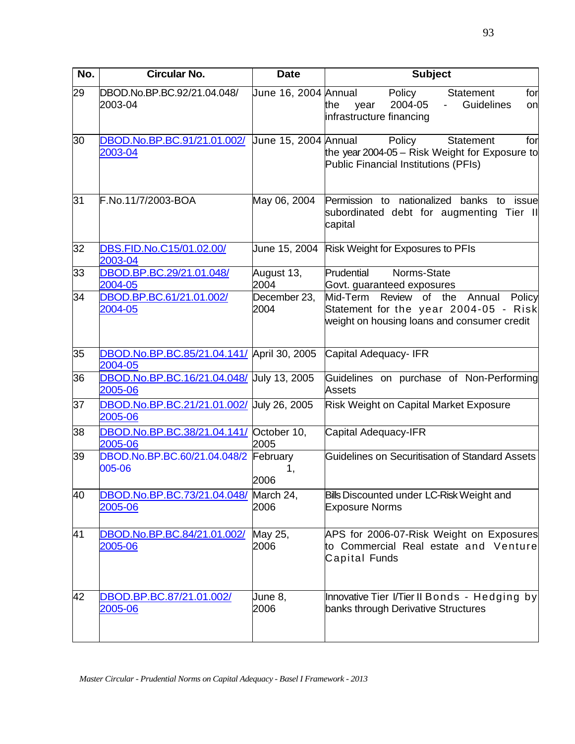| No. | <b>Circular No.</b>                                         | <b>Date</b>            | <b>Subject</b>                                                                                                                        |
|-----|-------------------------------------------------------------|------------------------|---------------------------------------------------------------------------------------------------------------------------------------|
| 29  | DBOD.No.BP.BC.92/21.04.048/<br>2003-04                      | Uune 16, 2004 Annual   | Policy<br><b>Statement</b><br>for<br>2004-05<br>Guidelines<br>the<br>year<br>on<br>infrastructure financing                           |
| 30  | DBOD.No.BP.BC.91/21.01.002/ Uune 15, 2004 Annual<br>2003-04 |                        | Policy<br>for<br><b>Statement</b><br>the year 2004-05 - Risk Weight for Exposure to<br>Public Financial Institutions (PFIs)           |
| 31  | F.No.11/7/2003-BOA                                          | May 06, 2004           | Permission to nationalized<br>banks to<br>issue<br>subordinated debt for augmenting Tier II<br>capital                                |
| 32  | DBS.FID.No.C15/01.02.00/<br>2003-04                         | June 15, 2004          | <b>Risk Weight for Exposures to PFIs</b>                                                                                              |
| 33  | DBOD.BP.BC.29/21.01.048/<br>2004-05                         | August 13,<br>2004     | Prudential<br>Norms-State<br>Govt. guaranteed exposures                                                                               |
| 34  | DBOD.BP.BC.61/21.01.002/<br>2004-05                         | December 23,<br>2004   | Mid-Term<br>Review of the<br>Annual<br>Policy<br>Statement for the year 2004-05 - Risk<br>weight on housing loans and consumer credit |
| 35  | DBOD.No.BP.BC.85/21.04.141/ April 30, 2005<br>2004-05       |                        | Capital Adequacy-IFR                                                                                                                  |
| 36  | DBOD.No.BP.BC.16/21.04.048/ July 13, 2005<br>2005-06        |                        | Guidelines on purchase of Non-Performing<br><b>Assets</b>                                                                             |
| 37  | DBOD.No.BP.BC.21/21.01.002/ July 26, 2005<br>2005-06        |                        | <b>Risk Weight on Capital Market Exposure</b>                                                                                         |
| 38  | DBOD.No.BP.BC.38/21.04.141/<br>2005-06                      | October 10,<br>2005    | Capital Adequacy-IFR                                                                                                                  |
| 39  | DBOD.No.BP.BC.60/21.04.048/2<br>005-06                      | February<br>1.<br>2006 | Guidelines on Securitisation of Standard Assets                                                                                       |
| 40  | DBOD.No.BP.BC.73/21.04.048/<br>2005-06                      | March 24,<br>2006      | Bills Discounted under LC-Risk Weight and<br><b>Exposure Norms</b>                                                                    |
| 41  | DBOD.No.BP.BC.84/21.01.002/<br>2005-06                      | May 25,<br>2006        | APS for 2006-07-Risk Weight on Exposures<br>to Commercial Real estate and Venture<br>Capital Funds                                    |
| 42  | DBOD.BP.BC.87/21.01.002/<br>2005-06                         | June 8,<br>2006        | Innovative Tier I/Tier II Bonds - Hedging by<br>banks through Derivative Structures                                                   |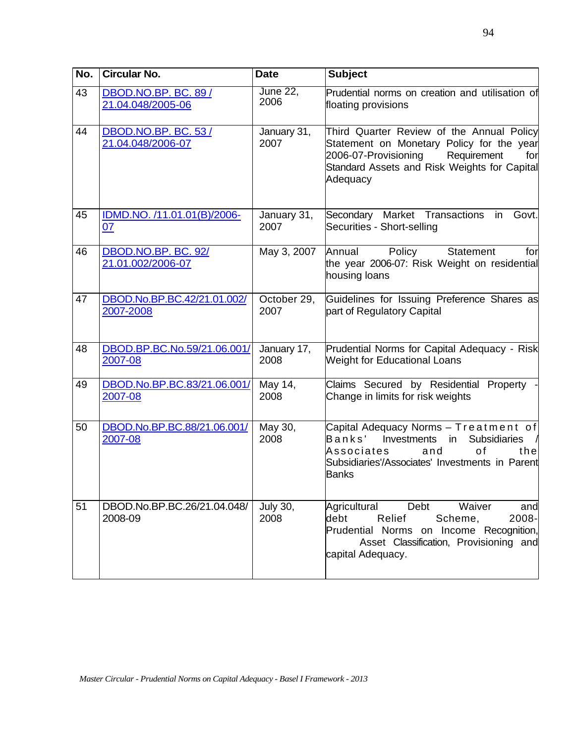| No. | <b>Circular No.</b>                             | <b>Date</b>             | <b>Subject</b>                                                                                                                                                                                   |
|-----|-------------------------------------------------|-------------------------|--------------------------------------------------------------------------------------------------------------------------------------------------------------------------------------------------|
| 43  | DBOD.NO.BP. BC. 89 /<br>21.04.048/2005-06       | <b>June 22,</b><br>2006 | Prudential norms on creation and utilisation of<br>floating provisions                                                                                                                           |
| 44  | <b>DBOD.NO.BP. BC. 53/</b><br>21.04.048/2006-07 | January 31,<br>2007     | Third Quarter Review of the Annual Policy<br>Statement on Monetary Policy for the year<br>2006-07-Provisioning<br>Requirement<br>for<br>Standard Assets and Risk Weights for Capital<br>Adequacy |
| 45  | IDMD.NO. /11.01.01(B)/2006-<br>07               | January 31,<br>2007     | Secondary Market Transactions<br>Govt.<br>in<br>Securities - Short-selling                                                                                                                       |
| 46  | DBOD.NO.BP. BC. 92/<br>21.01.002/2006-07        | May 3, 2007             | Policy<br><b>Statement</b><br>Annual<br>for<br>the year 2006-07: Risk Weight on residential<br>housing loans                                                                                     |
| 47  | DBOD.No.BP.BC.42/21.01.002/<br>2007-2008        | October 29,<br>2007     | Guidelines for Issuing Preference Shares as<br>part of Regulatory Capital                                                                                                                        |
| 48  | DBOD.BP.BC.No.59/21.06.001/<br>2007-08          | January 17,<br>2008     | Prudential Norms for Capital Adequacy - Risk<br><b>Weight for Educational Loans</b>                                                                                                              |
| 49  | DBOD.No.BP.BC.83/21.06.001/<br>2007-08          | May 14,<br>2008         | Claims Secured by Residential Property<br>Change in limits for risk weights                                                                                                                      |
| 50  | DBOD.No.BP.BC.88/21.06.001/<br>2007-08          | May 30,<br>2008         | Capital Adequacy Norms - Treatment of<br>Banks'<br>Investments<br><b>Subsidiaries</b><br>in<br>of<br>Associates<br>and<br>the<br>Subsidiaries'/Associates' Investments in Parent<br><b>Banks</b> |
| 51  | DBOD.No.BP.BC.26/21.04.048/<br>2008-09          | <b>July 30,</b><br>2008 | Waiver<br>Debt<br>Agricultural<br>and<br>Relief<br>debt<br>2008-<br>Scheme,<br>Prudential Norms on Income Recognition,<br>Asset Classification, Provisioning and<br>capital Adequacy.            |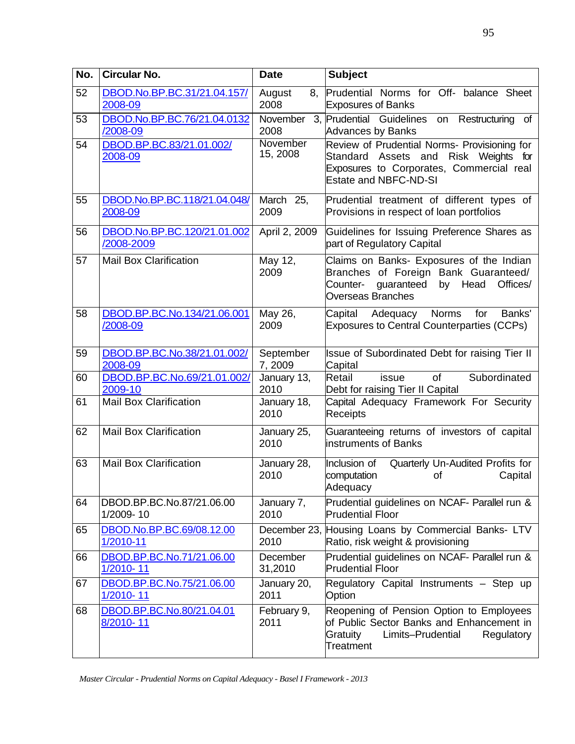| No. | <b>Circular No.</b>                       | <b>Date</b>          | <b>Subject</b>                                                                                                                                                      |
|-----|-------------------------------------------|----------------------|---------------------------------------------------------------------------------------------------------------------------------------------------------------------|
| 52  | DBOD.No.BP.BC.31/21.04.157/<br>2008-09    | August<br>2008       | 8, Prudential Norms for Off- balance Sheet<br><b>Exposures of Banks</b>                                                                                             |
| 53  | DBOD.No.BP.BC.76/21.04.0132<br>/2008-09   | November<br>2008     | 3, Prudential Guidelines<br>on Restructuring<br>of<br><b>Advances by Banks</b>                                                                                      |
| 54  | DBOD.BP.BC.83/21.01.002/<br>2008-09       | November<br>15, 2008 | Review of Prudential Norms- Provisioning for<br>Standard Assets and<br>Risk Weights for<br>Exposures to Corporates, Commercial real<br><b>Estate and NBFC-ND-SI</b> |
| 55  | DBOD.No.BP.BC.118/21.04.048/<br>2008-09   | March 25,<br>2009    | Prudential treatment of different types of<br>Provisions in respect of loan portfolios                                                                              |
| 56  | DBOD.No.BP.BC.120/21.01.002<br>/2008-2009 | April 2, 2009        | Guidelines for Issuing Preference Shares as<br>part of Regulatory Capital                                                                                           |
| 57  | <b>Mail Box Clarification</b>             | May 12,<br>2009      | Claims on Banks- Exposures of the Indian<br>Branches of Foreign Bank Guaranteed/<br>Counter- guaranteed<br>by Head<br>Offices/<br><b>Overseas Branches</b>          |
| 58  | DBOD.BP.BC.No.134/21.06.001<br>/2008-09   | May 26,<br>2009      | Capital Adequacy Norms<br>for<br>Banks'<br><b>Exposures to Central Counterparties (CCPs)</b>                                                                        |
| 59  | DBOD.BP.BC.No.38/21.01.002/<br>2008-09    | September<br>7,2009  | Issue of Subordinated Debt for raising Tier II<br>Capital                                                                                                           |
| 60  | DBOD.BP.BC.No.69/21.01.002/<br>2009-10    | January 13,<br>2010  | Retail<br>Subordinated<br><b>of</b><br>issue<br>Debt for raising Tier II Capital                                                                                    |
| 61  | <b>Mail Box Clarification</b>             | January 18,<br>2010  | Capital Adequacy Framework For Security<br>Receipts                                                                                                                 |
| 62  | <b>Mail Box Clarification</b>             | January 25,<br>2010  | Guaranteeing returns of investors of capital<br>instruments of Banks                                                                                                |
| 63  | <b>Mail Box Clarification</b>             | January 28,<br>2010  | Inclusion of<br>Quarterly Un-Audited Profits for<br>computation<br>of<br>Capital<br>Adequacy                                                                        |
| 64  | DBOD.BP.BC.No.87/21.06.00<br>1/2009-10    | January 7,<br>2010   | Prudential guidelines on NCAF- Parallel run &<br><b>Prudential Floor</b>                                                                                            |
| 65  | DBOD.No.BP.BC.69/08.12.00<br>1/2010-11    | 2010                 | December 23, Housing Loans by Commercial Banks- LTV<br>Ratio, risk weight & provisioning                                                                            |
| 66  | DBOD.BP.BC.No.71/21.06.00<br>1/2010-11    | December<br>31,2010  | Prudential guidelines on NCAF- Parallel run &<br><b>Prudential Floor</b>                                                                                            |
| 67  | DBOD.BP.BC.No.75/21.06.00<br>1/2010-11    | January 20,<br>2011  | Regulatory Capital Instruments - Step up<br>Option                                                                                                                  |
| 68  | DBOD.BP.BC.No.80/21.04.01<br>8/2010-11    | February 9,<br>2011  | Reopening of Pension Option to Employees<br>of Public Sector Banks and Enhancement in<br>Gratuity<br>Limits-Prudential<br>Regulatory<br>Treatment                   |